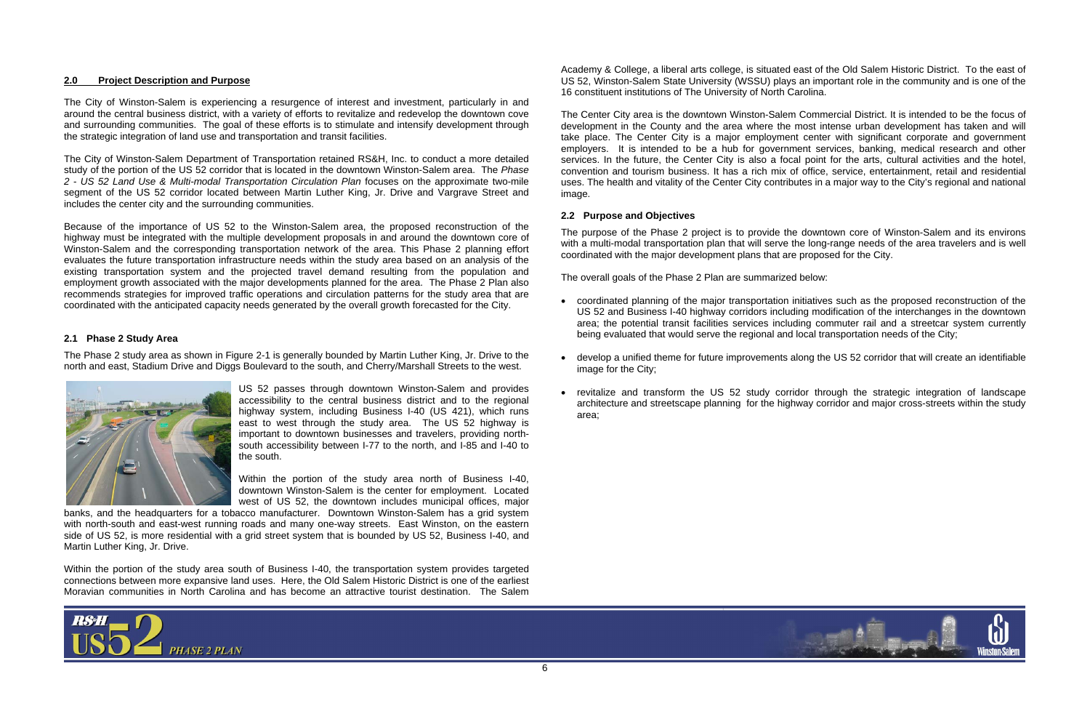## **2.0 Project Description and Purpose**

The City of Winston-Salem is experiencing a resurgence of interest and investment, particularly in and around the central business district, with a variety of efforts to revitalize and redevelop the downtown cove and surrounding communities. The goal of these efforts is to stimulate and intensify development through the strategic integration of land use and transportation and transit facilities.

The City of Winston-Salem Department of Transportation retained RS&H, Inc. to conduct a more detailed study of the portion of the US 52 corridor that is located in the downtown Winston-Salem area. The *Phase 2* - *US 52 Land Use & Multi-modal Transportation Circulation Plan* focuses on the approximate two-mile segment of the US 52 corridor located between Martin Luther King, Jr. Drive and Vargrave Street and includes the center city and the surrounding communities.

Because of the importance of US 52 to the Winston-Salem area, the proposed reconstruction of the highway must be integrated with the multiple development proposals in and around the downtown core of Winston-Salem and the corresponding transportation network of the area. This Phase 2 planning effort evaluates the future transportation infrastructure needs within the study area based on an analysis of the existing transportation system and the projected travel demand resulting from the population and employment growth associated with the major developments planned for the area. The Phase 2 Plan also recommends strategies for improved traffic operations and circulation patterns for the study area that are coordinated with the anticipated capacity needs generated by the overall growth forecasted for the City.

## **2.1 Phase 2 Study Area**

The Phase 2 study area as shown in Figure 2-1 is generally bounded by Martin Luther King, Jr. Drive to the north and east, Stadium Drive and Diggs Boulevard to the south, and Cherry/Marshall Streets to the west.



US 52 passes through downtown Winston-Salem and provides accessibility to the central business district and to the regional highway system, including Business I-40 (US 421), which runs east to west through the study area. The US 52 highway is important to downtown businesses and travelers, providing northsouth accessibility between I-77 to the north, and I-85 and I-40 to the south.

Within the portion of the study area north of Business I-40, downtown Winston-Salem is the center for employment. Located west of US 52, the downtown includes municipal offices, major

banks, and the headquarters for a tobacco manufacturer. Downtown Winston-Salem has a grid system with north-south and east-west running roads and many one-way streets. East Winston, on the eastern side of US 52, is more residential with a grid street system that is bounded by US 52, Business I-40, and Martin Luther King, Jr. Drive.

Within the portion of the study area south of Business I-40, the transportation system provides targeted connections between more expansive land uses. Here, the Old Salem Historic District is one of the earliest Moravian communities in North Carolina and has become an attractive tourist destination. The Salem



Academy & College, a liberal arts college, is situated east of the Old Salem Historic District. To the east of US 52, Winston-Salem State University (WSSU) plays an important role in the community and is one of the 16 constituent institutions of The University of North Carolina.

The Center City area is the downtown Winston-Salem Commercial District. It is intended to be the focus of development in the County and the area where the most intense urban development has taken and will take place. The Center City is a major employment center with significant corporate and government employers. It is intended to be a hub for government services, banking, medical research and other services. In the future, the Center City is also a focal point for the arts, cultural activities and the hotel, convention and tourism business. It has a rich mix of office, service, entertainment, retail and residential uses. The health and vitality of the Center City contributes in a major way to the City's regional and national image.

## **2.2 Purpose and Objectives**

The purpose of the Phase 2 project is to provide the downtown core of Winston-Salem and its environs with a multi-modal transportation plan that will serve the long-range needs of the area travelers and is well coordinated with the major development plans that are proposed for the City.

The overall goals of the Phase 2 Plan are summarized below:

US 52 and Business I-40 highway corridors including modification of the interchanges in the downtown area; the potential transit facilities services including commuter rail and a streetcar system currently



- coordinated planning of the major transportation initiatives such as the proposed reconstruction of the being evaluated that would serve the regional and local transportation needs of the City;
- develop a unified theme for future improvements along the US 52 corridor that will create an identifiable image for the City;
- revitalize and transform the US 52 study corridor through the strategic integration of landscape architecture and streetscape planning for the highway corridor and major cross-streets within the study area;